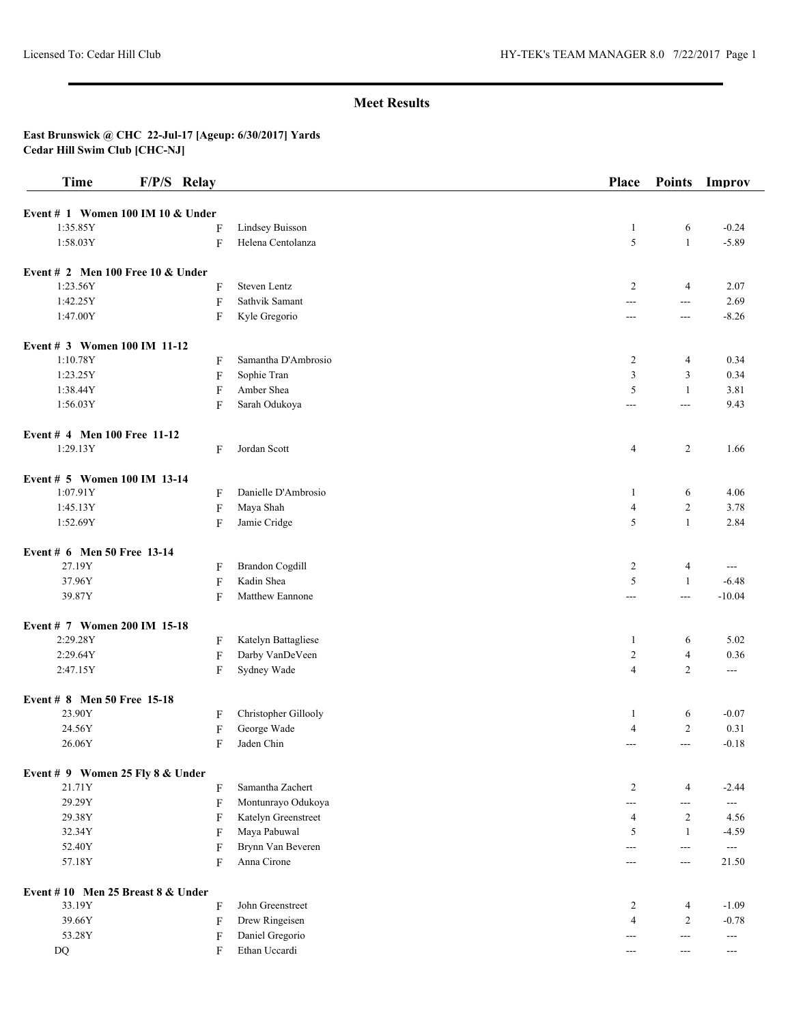| <b>Time</b>                                     | F/P/S Relay |                        | Place             | <b>Points</b>     | Improv        |
|-------------------------------------------------|-------------|------------------------|-------------------|-------------------|---------------|
|                                                 |             |                        |                   |                   |               |
| Event $# 1$ Women 100 IM 10 & Under<br>1:35.85Y |             | <b>Lindsey Buisson</b> |                   |                   | $-0.24$       |
| 1:58.03Y                                        | F<br>F      | Helena Centolanza      | $\mathbf{1}$<br>5 | 6<br>$\mathbf{1}$ | $-5.89$       |
|                                                 |             |                        |                   |                   |               |
| Event $# 2$ Men 100 Free 10 & Under             |             |                        |                   |                   |               |
| 1:23.56Y                                        | F           | Steven Lentz           | 2                 | 4                 | 2.07          |
| 1:42.25Y                                        | F           | Sathvik Samant         | ---               | $\sim$ $\sim$     | 2.69          |
| 1:47.00Y                                        | F           | Kyle Gregorio          | $---$             | $---$             | $-8.26$       |
| Event # 3 Women 100 IM 11-12                    |             |                        |                   |                   |               |
| 1:10.78Y                                        | F           | Samantha D'Ambrosio    | $\overline{2}$    | 4                 | 0.34          |
| 1:23.25Y                                        | F           | Sophie Tran            | 3                 | 3                 | 0.34          |
| 1:38.44Y                                        | F           | Amber Shea             | 5                 | $\mathbf{1}$      | 3.81          |
| 1:56.03Y                                        | F           | Sarah Odukoya          | ---               | $\overline{a}$    | 9.43          |
| Event # 4 Men 100 Free 11-12                    |             |                        |                   |                   |               |
| 1:29.13Y                                        | F           | Jordan Scott           | 4                 | 2                 | 1.66          |
| Event # 5 Women 100 IM 13-14                    |             |                        |                   |                   |               |
| 1:07.91Y                                        |             | Danielle D'Ambrosio    | -1                | 6                 | 4.06          |
| 1:45.13Y                                        | F           | Maya Shah              |                   | $\overline{c}$    | 3.78          |
|                                                 | F           |                        | $\overline{4}$    |                   |               |
| 1:52.69Y                                        | F           | Jamie Cridge           | 5                 | $\mathbf{1}$      | 2.84          |
| Event # 6 Men 50 Free 13-14                     |             |                        |                   |                   |               |
| 27.19Y                                          | F           | <b>Brandon Cogdill</b> | $\overline{c}$    | 4                 | ---           |
| 37.96Y                                          | F           | Kadin Shea             | 5                 | $\mathbf{1}$      | $-6.48$       |
| 39.87Y                                          | F           | Matthew Eannone        | ---               | $\frac{1}{2}$     | $-10.04$      |
| Event # 7 Women 200 IM 15-18                    |             |                        |                   |                   |               |
| 2:29.28Y                                        | F           | Katelyn Battagliese    | -1                | 6                 | 5.02          |
| 2:29.64Y                                        | F           | Darby VanDeVeen        | $\overline{2}$    | $\overline{4}$    | 0.36          |
| 2:47.15Y                                        | F           | Sydney Wade            | $\overline{4}$    | $\overline{c}$    | ---           |
| Event # 8 Men 50 Free 15-18                     |             |                        |                   |                   |               |
| 23.90Y                                          | F           | Christopher Gillooly   | -1                | 6                 | $-0.07$       |
| 24.56Y                                          | F           | George Wade            | $\overline{4}$    | $\overline{c}$    | 0.31          |
| 26.06Y                                          | F           | Jaden Chin             | ---               | $\overline{a}$    | $-0.18$       |
| Event # 9 Women 25 Fly 8 & Under                |             |                        |                   |                   |               |
| 21.71Y                                          | F           | Samantha Zachert       | $\overline{2}$    | 4                 | $-2.44$       |
| 29.29Y                                          | $\rm F$     | Montunrayo Odukoya     | ---               | ---               | ---           |
| 29.38Y                                          | F           | Katelyn Greenstreet    | $\overline{4}$    | 2                 | 4.56          |
| 32.34Y                                          | F           | Maya Pabuwal           | 5                 | 1                 | $-4.59$       |
| 52.40Y                                          | F           | Brynn Van Beveren      | ---               | $- - -$           | $\sim$ $\sim$ |
| 57.18Y                                          | F           | Anna Cirone            | $---$             | $\sim$ $\sim$     | 21.50         |
| Event #10 Men 25 Breast 8 & Under               |             |                        |                   |                   |               |
| 33.19Y                                          | F           | John Greenstreet       | 2                 | $\overline{4}$    | $-1.09$       |
| 39.66Y                                          | $\rm F$     | Drew Ringeisen         | $\overline{4}$    | $\overline{c}$    | $-0.78$       |
| 53.28Y                                          | F           | Daniel Gregorio        | ---               | $\sim$ $\sim$     | $--$          |
| DQ                                              | F           | Ethan Uccardi          | $---$             | $---$             | $---$         |
|                                                 |             |                        |                   |                   |               |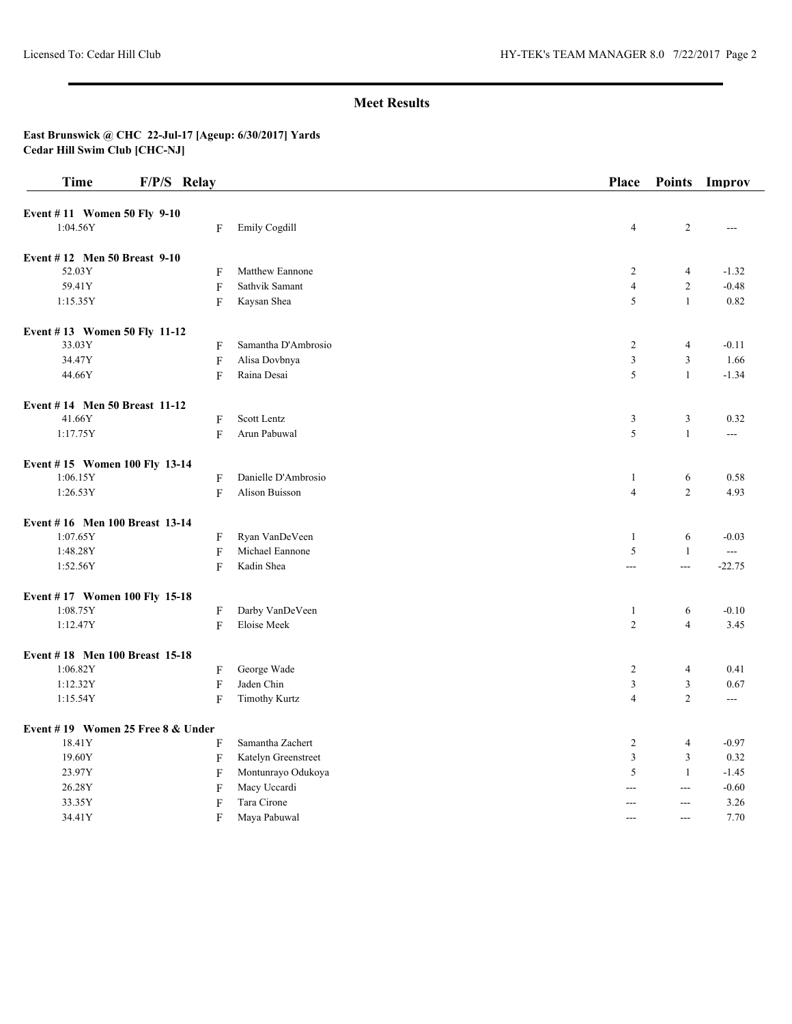| <b>Time</b>                       | F/P/S Relay               |                      | Place          | <b>Points</b>  | Improv              |
|-----------------------------------|---------------------------|----------------------|----------------|----------------|---------------------|
| Event #11 Women 50 Fly 9-10       |                           |                      |                |                |                     |
| 1:04.56Y                          | F                         | Emily Cogdill        | $\overline{4}$ | 2              | ---                 |
|                                   |                           |                      |                |                |                     |
| Event #12 Men 50 Breast 9-10      |                           |                      |                |                |                     |
| 52.03Y                            | F                         | Matthew Eannone      | $\overline{2}$ | $\overline{4}$ | $-1.32$             |
| 59.41Y                            | F                         | Sathvik Samant       | $\overline{4}$ | $\sqrt{2}$     | $-0.48$             |
| 1:15.35Y                          | F                         | Kaysan Shea          | 5              | $\mathbf{1}$   | 0.82                |
| Event #13 Women 50 Fly 11-12      |                           |                      |                |                |                     |
| 33.03Y                            | F                         | Samantha D'Ambrosio  | $\overline{c}$ | $\overline{4}$ | $-0.11$             |
| 34.47Y                            | $\boldsymbol{\mathrm{F}}$ | Alisa Dovbnya        | $\mathfrak z$  | $\mathfrak{Z}$ | 1.66                |
| 44.66Y                            | ${\rm F}$                 | Raina Desai          | 5              | $\mathbf{1}$   | $-1.34$             |
| Event #14 Men 50 Breast 11-12     |                           |                      |                |                |                     |
| 41.66Y                            | F                         | Scott Lentz          | 3              | 3              | 0.32                |
| 1:17.75Y                          | F                         | Arun Pabuwal         | $\sqrt{5}$     | $\mathbf{1}$   | $---$               |
| Event #15 Women 100 Fly 13-14     |                           |                      |                |                |                     |
| 1:06.15Y                          | F                         | Danielle D'Ambrosio  | $\mathbf{1}$   | 6              | 0.58                |
| 1:26.53Y                          | $\mathbf{F}$              | Alison Buisson       | $\overline{4}$ | $\overline{c}$ | 4.93                |
| Event #16 Men 100 Breast 13-14    |                           |                      |                |                |                     |
| 1:07.65Y                          | F                         | Ryan VanDeVeen       | $\mathbf{1}$   | 6              | $-0.03$             |
| 1:48.28Y                          | F                         | Michael Eannone      | $\sqrt{5}$     | $\mathbf{1}$   | $\qquad \qquad - -$ |
| 1:52.56Y                          | F                         | Kadin Shea           | $\overline{a}$ | $\overline{a}$ | $-22.75$            |
|                                   |                           |                      |                |                |                     |
| Event #17 Women 100 Fly 15-18     |                           |                      |                |                |                     |
| 1:08.75Y                          | F                         | Darby VanDeVeen      | $\mathbf{1}$   | 6              | $-0.10$             |
| 1:12.47Y                          | F                         | Eloise Meek          | $\overline{2}$ | $\overline{4}$ | 3.45                |
| Event #18 Men 100 Breast 15-18    |                           |                      |                |                |                     |
| 1:06.82Y                          | F                         | George Wade          | $\overline{2}$ | $\overline{4}$ | 0.41                |
| 1:12.32Y                          | F                         | Jaden Chin           | $\mathfrak z$  | $\mathfrak{Z}$ | 0.67                |
| 1:15.54Y                          | $\boldsymbol{\mathrm{F}}$ | <b>Timothy Kurtz</b> | $\overline{4}$ | $\overline{2}$ | ---                 |
| Event #19 Women 25 Free 8 & Under |                           |                      |                |                |                     |
| 18.41Y                            | F                         | Samantha Zachert     | $\overline{c}$ | $\overline{4}$ | $-0.97$             |
| 19.60Y                            | $\boldsymbol{\mathrm{F}}$ | Katelyn Greenstreet  | $\mathfrak z$  | $\mathfrak{Z}$ | 0.32                |
| 23.97Y                            | $\boldsymbol{\mathrm{F}}$ | Montunrayo Odukoya   | $\sqrt{5}$     | $\mathbf{1}$   | $-1.45$             |
| 26.28Y                            | F                         | Macy Uccardi         | $\overline{a}$ | $\overline{a}$ | $-0.60$             |
| 33.35Y                            | $\boldsymbol{\mathrm{F}}$ | Tara Cirone          | ---            | $\overline{a}$ | 3.26                |
| 34.41Y                            | F                         | Maya Pabuwal         | $---$          | $\overline{a}$ | 7.70                |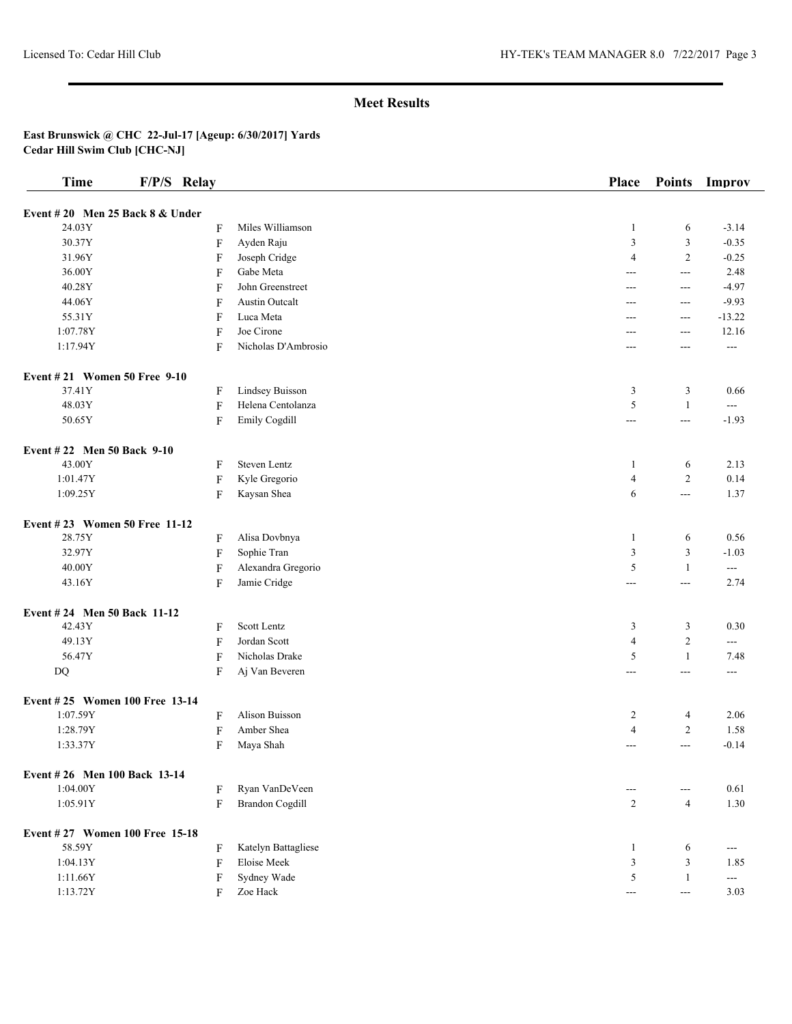| <b>Time</b>                       | F/P/S Relay               |                        | Place               | <b>Points</b>            | Improv        |
|-----------------------------------|---------------------------|------------------------|---------------------|--------------------------|---------------|
| Event #20 Men 25 Back $8 &$ Under |                           |                        |                     |                          |               |
| 24.03Y                            | $\boldsymbol{\mathrm{F}}$ | Miles Williamson       | -1                  | 6                        | $-3.14$       |
| 30.37Y                            | $\boldsymbol{\mathrm{F}}$ | Ayden Raju             | 3                   | 3                        | $-0.35$       |
| 31.96Y                            | F                         | Joseph Cridge          | $\overline{4}$      | $\overline{2}$           | $-0.25$       |
| 36.00Y                            | F                         | Gabe Meta              | $---$               | $- - -$                  | 2.48          |
| 40.28Y                            | F                         | John Greenstreet       | ---                 | $\overline{a}$           | $-4.97$       |
| 44.06Y                            | F                         | <b>Austin Outcalt</b>  | ---                 | $---$                    | $-9.93$       |
| 55.31Y                            | F                         | Luca Meta              | $---$               | $--$                     | $-13.22$      |
| 1:07.78Y                          | $\boldsymbol{\mathrm{F}}$ | Joe Cirone             | ---                 | $--$                     | 12.16         |
| 1:17.94Y                          | F                         | Nicholas D'Ambrosio    | $---$               | ---                      | $---$         |
| Event #21 Women 50 Free 9-10      |                           |                        |                     |                          |               |
| 37.41Y                            | F                         | Lindsey Buisson        | 3                   | 3                        | 0.66          |
| 48.03Y                            | F                         | Helena Centolanza      | 5                   | $\mathbf{1}$             | ---           |
| 50.65Y                            | $\boldsymbol{\mathrm{F}}$ | Emily Cogdill          | $\qquad \qquad -$   | $\sim$ $\sim$            | $-1.93$       |
| Event #22 Men 50 Back 9-10        |                           |                        |                     |                          |               |
| 43.00Y                            | F                         | <b>Steven Lentz</b>    | 1                   | 6                        | 2.13          |
| 1:01.47Y                          | $\boldsymbol{\mathrm{F}}$ | Kyle Gregorio          | $\overline{4}$      | $\overline{2}$           | 0.14          |
| 1:09.25Y                          | F                         | Kaysan Shea            | 6                   | $\frac{1}{2}$            | 1.37          |
| Event #23 Women 50 Free 11-12     |                           |                        |                     |                          |               |
| 28.75Y                            | F                         | Alisa Dovbnya          | -1                  | 6                        | 0.56          |
| 32.97Y                            | $\boldsymbol{\mathrm{F}}$ | Sophie Tran            | 3                   | $\mathfrak z$            | $-1.03$       |
| 40.00Y                            | F                         | Alexandra Gregorio     | 5                   | $\mathbf{1}$             | $\sim$ $\sim$ |
| 43.16Y                            | F                         | Jamie Cridge           | $---$               | $- - -$                  | 2.74          |
| Event #24 Men 50 Back 11-12       |                           |                        |                     |                          |               |
| 42.43Y                            | F                         | Scott Lentz            | 3                   | 3                        | 0.30          |
| 49.13Y                            | $\boldsymbol{\mathrm{F}}$ | Jordan Scott           | $\overline{4}$      | $\overline{2}$           | $\frac{1}{2}$ |
| 56.47Y                            | $\boldsymbol{\mathrm{F}}$ | Nicholas Drake         | 5                   | $\mathbf{1}$             | 7.48          |
| DQ                                | F                         | Aj Van Beveren         | $---$               | $--$                     | $---$         |
| Event #25 Women 100 Free 13-14    |                           |                        |                     |                          |               |
| 1:07.59Y                          | F                         | <b>Alison Buisson</b>  | 2                   | 4                        | 2.06          |
| 1:28.79Y                          | F                         | Amber Shea             | $\overline{4}$      | $\overline{c}$           | 1.58          |
| 1:33.37Y                          | F                         | Maya Shah              | ---                 | $\overline{a}$           | $-0.14$       |
| Event #26 Men 100 Back 13-14      |                           |                        |                     |                          |               |
| 1:04.00Y                          | F                         | Ryan VanDeVeen         | ---                 | $---$                    | 0.61          |
| 1:05.91Y                          | F                         | <b>Brandon Cogdill</b> | $\overline{c}$      | $\overline{4}$           | 1.30          |
| Event #27 Women 100 Free 15-18    |                           |                        |                     |                          |               |
| 58.59Y                            | F                         | Katelyn Battagliese    | 1                   | 6                        | $--$          |
| 1:04.13Y                          | F                         | Eloise Meek            | $\mathfrak{Z}$      | $\mathfrak{Z}$           | 1.85          |
| 1:11.66Y                          | F                         | Sydney Wade            | 5                   | $\mathbf{1}$             | ---           |
| 1:13.72Y                          | F                         | Zoe Hack               | $\qquad \qquad - -$ | $\hspace{0.05cm} \ldots$ | 3.03          |